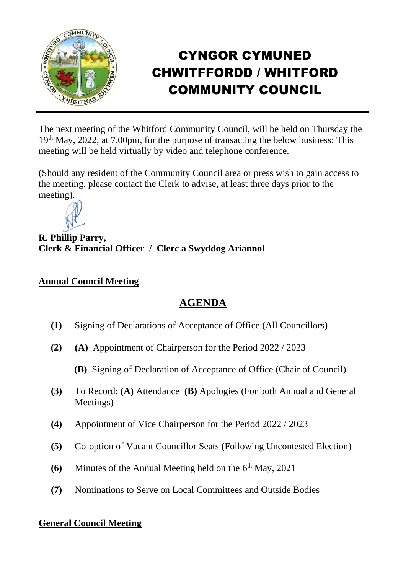

## CYNGOR CYMUNED CHWITFFORDD / WHITFORD COMMUNITY COUNCIL

The next meeting of the Whitford Community Council, will be held on Thursday the 19th May, 2022, at 7.00pm, for the purpose of transacting the below business: This meeting will be held virtually by video and telephone conference.

(Should any resident of the Community Council area or press wish to gain access to the meeting, please contact the Clerk to advise, at least three days prior to the meeting).



**R. Phillip Parry, Clerk & Financial Officer / Clerc a Swyddog Ariannol**

## **Annual Council Meeting**

## **AGENDA**

- **(1)** Signing of Declarations of Acceptance of Office (All Councillors)
- **(2) (A)** Appointment of Chairperson for the Period 2022 / 2023
	- **(B)** Signing of Declaration of Acceptance of Office (Chair of Council)
- **(3)** To Record: **(A)** Attendance **(B)** Apologies (For both Annual and General Meetings)
- **(4)** Appointment of Vice Chairperson for the Period 2022 / 2023
- **(5)** Co-option of Vacant Councillor Seats (Following Uncontested Election)
- **(6)** Minutes of the Annual Meeting held on the 6<sup>th</sup> May, 2021
- **(7)** Nominations to Serve on Local Committees and Outside Bodies

## **General Council Meeting**